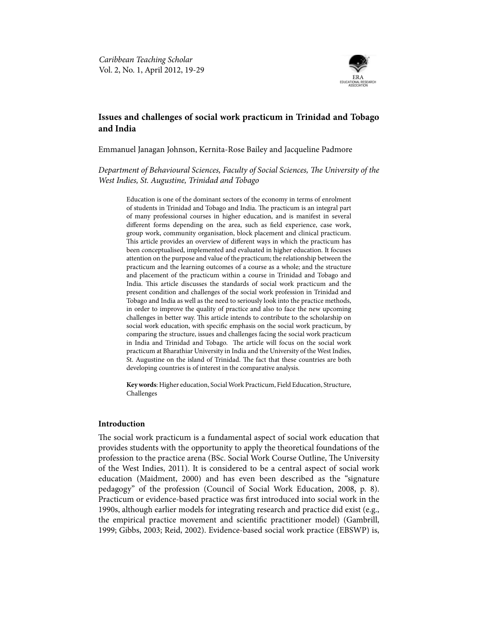

# **Issues and challenges of social work practicum in Trinidad and Tobago and India**

Emmanuel Janagan Johnson, Kernita-Rose Bailey and Jacqueline Padmore

*Department of Behavioural Sciences, Faculty of Social Sciences, The University of the West Indies, St. Augustine, Trinidad and Tobago*

Education is one of the dominant sectors of the economy in terms of enrolment of students in Trinidad and Tobago and India. The practicum is an integral part of many professional courses in higher education, and is manifest in several different forms depending on the area, such as field experience, case work, group work, community organisation, block placement and clinical practicum. This article provides an overview of different ways in which the practicum has been conceptualised, implemented and evaluated in higher education. It focuses attention on the purpose and value of the practicum; the relationship between the practicum and the learning outcomes of a course as a whole; and the structure and placement of the practicum within a course in Trinidad and Tobago and India. This article discusses the standards of social work practicum and the present condition and challenges of the social work profession in Trinidad and Tobago and India as well as the need to seriously look into the practice methods, in order to improve the quality of practice and also to face the new upcoming challenges in better way. This article intends to contribute to the scholarship on social work education, with specific emphasis on the social work practicum, by comparing the structure, issues and challenges facing the social work practicum in India and Trinidad and Tobago. The article will focus on the social work practicum at Bharathiar University in India and the University of the West Indies, St. Augustine on the island of Trinidad. The fact that these countries are both developing countries is of interest in the comparative analysis.

**Key words**: Higher education, Social Work Practicum, Field Education, Structure, Challenges

# **Introduction**

The social work practicum is a fundamental aspect of social work education that provides students with the opportunity to apply the theoretical foundations of the profession to the practice arena (BSc. Social Work Course Outline, The University of the West Indies, 2011). It is considered to be a central aspect of social work education (Maidment, 2000) and has even been described as the "signature pedagogy" of the profession (Council of Social Work Education, 2008, p. 8). Practicum or evidence-based practice was first introduced into social work in the 1990s, although earlier models for integrating research and practice did exist (e.g., the empirical practice movement and scientific practitioner model) (Gambrill, 1999; Gibbs, 2003; Reid, 2002). Evidence-based social work practice (EBSWP) is,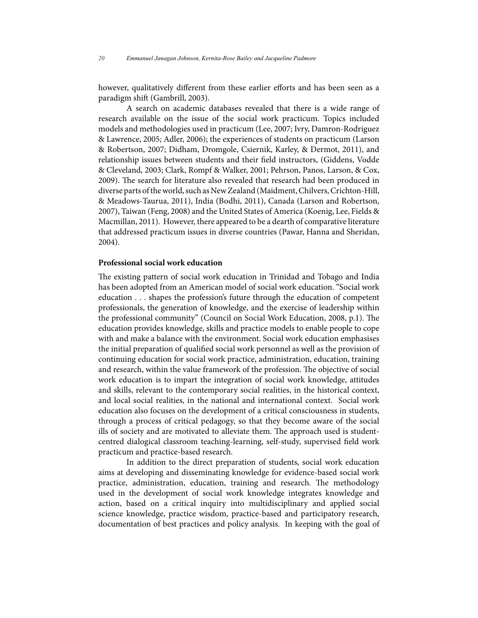however, qualitatively different from these earlier efforts and has been seen as a paradigm shift (Gambrill, 2003).

A search on academic databases revealed that there is a wide range of research available on the issue of the social work practicum. Topics included models and methodologies used in practicum (Lee, 2007; Ivry, Damron-Rodriguez & Lawrence, 2005; Adler, 2006); the experiences of students on practicum (Larson & Robertson, 2007; Didham, Dromgole, Csiernik, Karley, & Dermot, 2011), and relationship issues between students and their field instructors, (Giddens, Vodde & Cleveland, 2003; Clark, Rompf & Walker, 2001; Pehrson, Panos, Larson, & Cox, 2009). The search for literature also revealed that research had been produced in diverse parts of the world, such as New Zealand (Maidment, Chilvers, Crichton-Hill, & Meadows-Taurua, 2011), India (Bodhi, 2011), Canada (Larson and Robertson, 2007), Taiwan (Feng, 2008) and the United States of America (Koenig, Lee, Fields & Macmillan, 2011). However, there appeared to be a dearth of comparative literature that addressed practicum issues in diverse countries (Pawar, Hanna and Sheridan, 2004).

#### **Professional social work education**

The existing pattern of social work education in Trinidad and Tobago and India has been adopted from an American model of social work education. "Social work education . . . shapes the profession's future through the education of competent professionals, the generation of knowledge, and the exercise of leadership within the professional community" (Council on Social Work Education, 2008, p.1). The education provides knowledge, skills and practice models to enable people to cope with and make a balance with the environment. Social work education emphasises the initial preparation of qualified social work personnel as well as the provision of continuing education for social work practice, administration, education, training and research, within the value framework of the profession. The objective of social work education is to impart the integration of social work knowledge, attitudes and skills, relevant to the contemporary social realities, in the historical context, and local social realities, in the national and international context. Social work education also focuses on the development of a critical consciousness in students, through a process of critical pedagogy, so that they become aware of the social ills of society and are motivated to alleviate them. The approach used is studentcentred dialogical classroom teaching-learning, self-study, supervised field work practicum and practice-based research.

In addition to the direct preparation of students, social work education aims at developing and disseminating knowledge for evidence-based social work practice, administration, education, training and research. The methodology used in the development of social work knowledge integrates knowledge and action, based on a critical inquiry into multidisciplinary and applied social science knowledge, practice wisdom, practice-based and participatory research, documentation of best practices and policy analysis. In keeping with the goal of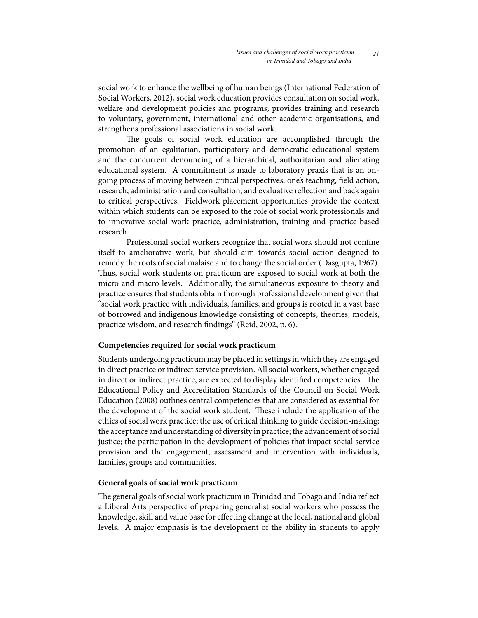social work to enhance the wellbeing of human beings (International Federation of Social Workers, 2012), social work education provides consultation on social work, welfare and development policies and programs; provides training and research to voluntary, government, international and other academic organisations, and strengthens professional associations in social work.

The goals of social work education are accomplished through the promotion of an egalitarian, participatory and democratic educational system and the concurrent denouncing of a hierarchical, authoritarian and alienating educational system. A commitment is made to laboratory praxis that is an ongoing process of moving between critical perspectives, one's teaching, field action, research, administration and consultation, and evaluative reflection and back again to critical perspectives. Fieldwork placement opportunities provide the context within which students can be exposed to the role of social work professionals and to innovative social work practice, administration, training and practice-based research.

Professional social workers recognize that social work should not confine itself to ameliorative work, but should aim towards social action designed to remedy the roots of social malaise and to change the social order (Dasgupta, 1967). Thus, social work students on practicum are exposed to social work at both the micro and macro levels. Additionally, the simultaneous exposure to theory and practice ensures that students obtain thorough professional development given that "social work practice with individuals, families, and groups is rooted in a vast base of borrowed and indigenous knowledge consisting of concepts, theories, models, practice wisdom, and research findings" (Reid, 2002, p. 6).

### **Competencies required for social work practicum**

Students undergoing practicum may be placed in settings in which they are engaged in direct practice or indirect service provision. All social workers, whether engaged in direct or indirect practice, are expected to display identified competencies. The Educational Policy and Accreditation Standards of the Council on Social Work Education (2008) outlines central competencies that are considered as essential for the development of the social work student. These include the application of the ethics of social work practice; the use of critical thinking to guide decision-making; the acceptance and understanding of diversity in practice; the advancement of social justice; the participation in the development of policies that impact social service provision and the engagement, assessment and intervention with individuals, families, groups and communities.

# **General goals of social work practicum**

The general goals of social work practicum in Trinidad and Tobago and India reflect a Liberal Arts perspective of preparing generalist social workers who possess the knowledge, skill and value base for effecting change at the local, national and global levels. A major emphasis is the development of the ability in students to apply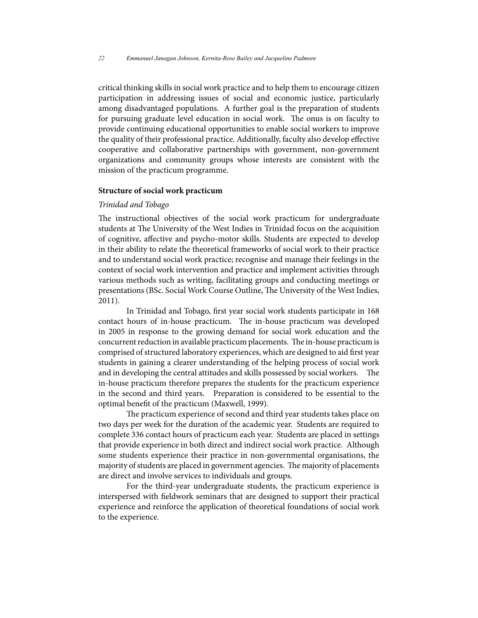critical thinking skills in social work practice and to help them to encourage citizen participation in addressing issues of social and economic justice, particularly among disadvantaged populations. A further goal is the preparation of students for pursuing graduate level education in social work. The onus is on faculty to provide continuing educational opportunities to enable social workers to improve the quality of their professional practice. Additionally, faculty also develop effective cooperative and collaborative partnerships with government, non-government organizations and community groups whose interests are consistent with the mission of the practicum programme.

#### **Structure of social work practicum**

#### *Trinidad and Tobago*

The instructional objectives of the social work practicum for undergraduate students at The University of the West Indies in Trinidad focus on the acquisition of cognitive, affective and psycho-motor skills. Students are expected to develop in their ability to relate the theoretical frameworks of social work to their practice and to understand social work practice; recognise and manage their feelings in the context of social work intervention and practice and implement activities through various methods such as writing, facilitating groups and conducting meetings or presentations (BSc. Social Work Course Outline, The University of the West Indies, 2011).

In Trinidad and Tobago, first year social work students participate in 168 contact hours of in-house practicum. The in-house practicum was developed in 2005 in response to the growing demand for social work education and the concurrent reduction in available practicum placements. The in-house practicum is comprised of structured laboratory experiences, which are designed to aid first year students in gaining a clearer understanding of the helping process of social work and in developing the central attitudes and skills possessed by social workers. The in-house practicum therefore prepares the students for the practicum experience in the second and third years. Preparation is considered to be essential to the optimal benefit of the practicum (Maxwell, 1999).

The practicum experience of second and third year students takes place on two days per week for the duration of the academic year. Students are required to complete 336 contact hours of practicum each year. Students are placed in settings that provide experience in both direct and indirect social work practice. Although some students experience their practice in non-governmental organisations, the majority of students are placed in government agencies. The majority of placements are direct and involve services to individuals and groups.

For the third-year undergraduate students, the practicum experience is interspersed with fieldwork seminars that are designed to support their practical experience and reinforce the application of theoretical foundations of social work to the experience.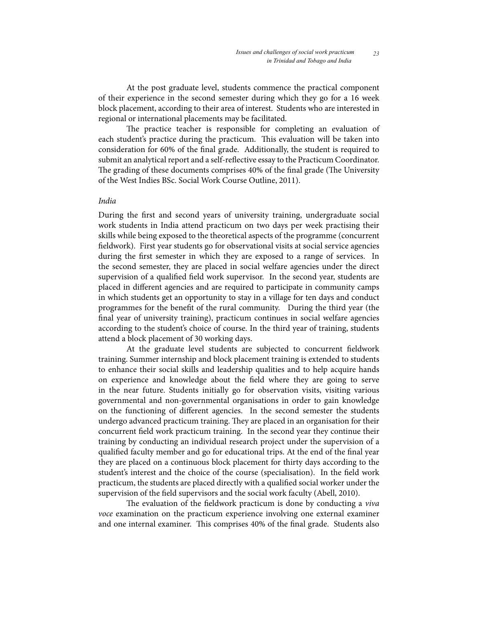At the post graduate level, students commence the practical component of their experience in the second semester during which they go for a 16 week block placement, according to their area of interest. Students who are interested in regional or international placements may be facilitated.

The practice teacher is responsible for completing an evaluation of each student's practice during the practicum. This evaluation will be taken into consideration for 60% of the final grade. Additionally, the student is required to submit an analytical report and a self-reflective essay to the Practicum Coordinator. The grading of these documents comprises 40% of the final grade (The University of the West Indies BSc. Social Work Course Outline, 2011).

### *India*

During the first and second years of university training, undergraduate social work students in India attend practicum on two days per week practising their skills while being exposed to the theoretical aspects of the programme (concurrent fieldwork). First year students go for observational visits at social service agencies during the first semester in which they are exposed to a range of services. In the second semester, they are placed in social welfare agencies under the direct supervision of a qualified field work supervisor. In the second year, students are placed in different agencies and are required to participate in community camps in which students get an opportunity to stay in a village for ten days and conduct programmes for the benefit of the rural community. During the third year (the final year of university training), practicum continues in social welfare agencies according to the student's choice of course. In the third year of training, students attend a block placement of 30 working days.

At the graduate level students are subjected to concurrent fieldwork training. Summer internship and block placement training is extended to students to enhance their social skills and leadership qualities and to help acquire hands on experience and knowledge about the field where they are going to serve in the near future. Students initially go for observation visits, visiting various governmental and non-governmental organisations in order to gain knowledge on the functioning of different agencies. In the second semester the students undergo advanced practicum training. They are placed in an organisation for their concurrent field work practicum training. In the second year they continue their training by conducting an individual research project under the supervision of a qualified faculty member and go for educational trips. At the end of the final year they are placed on a continuous block placement for thirty days according to the student's interest and the choice of the course (specialisation). In the field work practicum, the students are placed directly with a qualified social worker under the supervision of the field supervisors and the social work faculty (Abell, 2010).

The evaluation of the fieldwork practicum is done by conducting a *viva voce* examination on the practicum experience involving one external examiner and one internal examiner. This comprises 40% of the final grade. Students also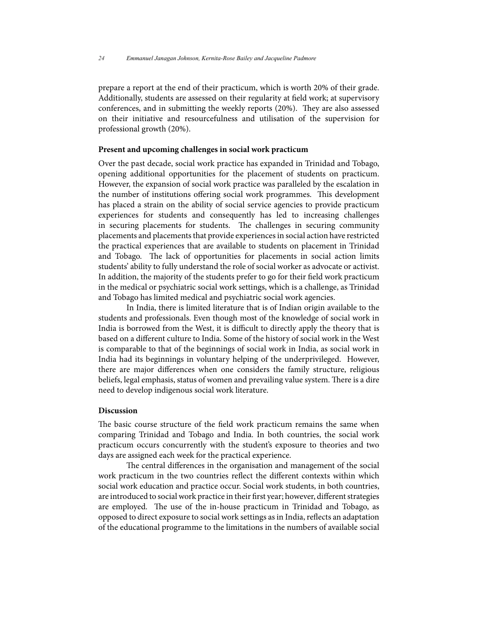prepare a report at the end of their practicum, which is worth 20% of their grade. Additionally, students are assessed on their regularity at field work; at supervisory conferences, and in submitting the weekly reports (20%). They are also assessed on their initiative and resourcefulness and utilisation of the supervision for professional growth (20%).

# **Present and upcoming challenges in social work practicum**

Over the past decade, social work practice has expanded in Trinidad and Tobago, opening additional opportunities for the placement of students on practicum. However, the expansion of social work practice was paralleled by the escalation in the number of institutions offering social work programmes. This development has placed a strain on the ability of social service agencies to provide practicum experiences for students and consequently has led to increasing challenges in securing placements for students. The challenges in securing community placements and placements that provide experiences in social action have restricted the practical experiences that are available to students on placement in Trinidad and Tobago. The lack of opportunities for placements in social action limits students' ability to fully understand the role of social worker as advocate or activist. In addition, the majority of the students prefer to go for their field work practicum in the medical or psychiatric social work settings, which is a challenge, as Trinidad and Tobago has limited medical and psychiatric social work agencies.

In India, there is limited literature that is of Indian origin available to the students and professionals. Even though most of the knowledge of social work in India is borrowed from the West, it is difficult to directly apply the theory that is based on a different culture to India. Some of the history of social work in the West is comparable to that of the beginnings of social work in India, as social work in India had its beginnings in voluntary helping of the underprivileged. However, there are major differences when one considers the family structure, religious beliefs, legal emphasis, status of women and prevailing value system. There is a dire need to develop indigenous social work literature.

### **Discussion**

The basic course structure of the field work practicum remains the same when comparing Trinidad and Tobago and India. In both countries, the social work practicum occurs concurrently with the student's exposure to theories and two days are assigned each week for the practical experience.

The central differences in the organisation and management of the social work practicum in the two countries reflect the different contexts within which social work education and practice occur. Social work students, in both countries, are introduced to social work practice in their first year; however, different strategies are employed. The use of the in-house practicum in Trinidad and Tobago, as opposed to direct exposure to social work settings as in India, reflects an adaptation of the educational programme to the limitations in the numbers of available social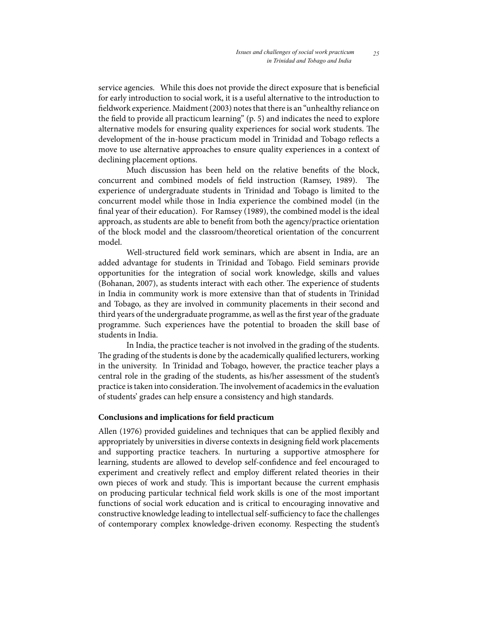service agencies. While this does not provide the direct exposure that is beneficial for early introduction to social work, it is a useful alternative to the introduction to fieldwork experience. Maidment (2003) notes that there is an "unhealthy reliance on the field to provide all practicum learning" (p. 5) and indicates the need to explore alternative models for ensuring quality experiences for social work students. The development of the in-house practicum model in Trinidad and Tobago reflects a move to use alternative approaches to ensure quality experiences in a context of declining placement options.

Much discussion has been held on the relative benefits of the block, concurrent and combined models of field instruction (Ramsey, 1989). The experience of undergraduate students in Trinidad and Tobago is limited to the concurrent model while those in India experience the combined model (in the final year of their education). For Ramsey (1989), the combined model is the ideal approach, as students are able to benefit from both the agency/practice orientation of the block model and the classroom/theoretical orientation of the concurrent model.

Well-structured field work seminars, which are absent in India, are an added advantage for students in Trinidad and Tobago. Field seminars provide opportunities for the integration of social work knowledge, skills and values (Bohanan, 2007), as students interact with each other. The experience of students in India in community work is more extensive than that of students in Trinidad and Tobago, as they are involved in community placements in their second and third years of the undergraduate programme, as well as the first year of the graduate programme. Such experiences have the potential to broaden the skill base of students in India.

In India, the practice teacher is not involved in the grading of the students. The grading of the students is done by the academically qualified lecturers, working in the university. In Trinidad and Tobago, however, the practice teacher plays a central role in the grading of the students, as his/her assessment of the student's practice is taken into consideration. The involvement of academics in the evaluation of students' grades can help ensure a consistency and high standards.

# **Conclusions and implications for field practicum**

Allen (1976) provided guidelines and techniques that can be applied flexibly and appropriately by universities in diverse contexts in designing field work placements and supporting practice teachers. In nurturing a supportive atmosphere for learning, students are allowed to develop self-confidence and feel encouraged to experiment and creatively reflect and employ different related theories in their own pieces of work and study. This is important because the current emphasis on producing particular technical field work skills is one of the most important functions of social work education and is critical to encouraging innovative and constructive knowledge leading to intellectual self-sufficiency to face the challenges of contemporary complex knowledge-driven economy. Respecting the student's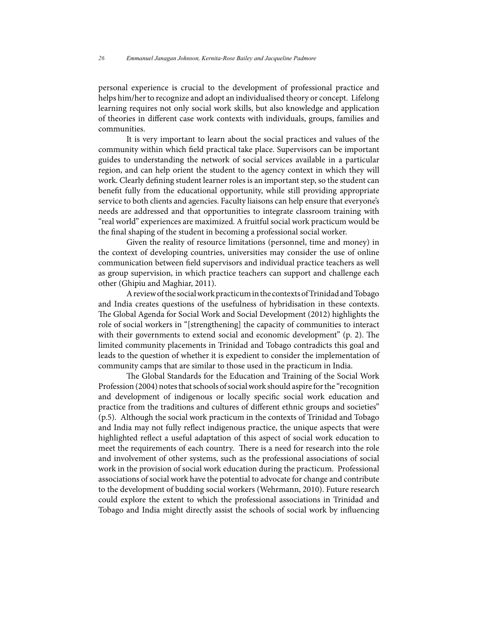personal experience is crucial to the development of professional practice and helps him/her to recognize and adopt an individualised theory or concept. Lifelong learning requires not only social work skills, but also knowledge and application of theories in different case work contexts with individuals, groups, families and communities.

It is very important to learn about the social practices and values of the community within which field practical take place. Supervisors can be important guides to understanding the network of social services available in a particular region, and can help orient the student to the agency context in which they will work. Clearly defining student learner roles is an important step, so the student can benefit fully from the educational opportunity, while still providing appropriate service to both clients and agencies. Faculty liaisons can help ensure that everyone's needs are addressed and that opportunities to integrate classroom training with "real world" experiences are maximized. A fruitful social work practicum would be the final shaping of the student in becoming a professional social worker.

Given the reality of resource limitations (personnel, time and money) in the context of developing countries, universities may consider the use of online communication between field supervisors and individual practice teachers as well as group supervision, in which practice teachers can support and challenge each other (Ghipiu and Maghiar, 2011).

A review of the social work practicum in the contexts of Trinidad and Tobago and India creates questions of the usefulness of hybridisation in these contexts. The Global Agenda for Social Work and Social Development (2012) highlights the role of social workers in "[strengthening] the capacity of communities to interact with their governments to extend social and economic development" (p. 2). The limited community placements in Trinidad and Tobago contradicts this goal and leads to the question of whether it is expedient to consider the implementation of community camps that are similar to those used in the practicum in India.

The Global Standards for the Education and Training of the Social Work Profession (2004) notes that schools of social work should aspire for the "recognition and development of indigenous or locally specific social work education and practice from the traditions and cultures of different ethnic groups and societies" (p.5). Although the social work practicum in the contexts of Trinidad and Tobago and India may not fully reflect indigenous practice, the unique aspects that were highlighted reflect a useful adaptation of this aspect of social work education to meet the requirements of each country. There is a need for research into the role and involvement of other systems, such as the professional associations of social work in the provision of social work education during the practicum. Professional associations of social work have the potential to advocate for change and contribute to the development of budding social workers (Wehrmann, 2010). Future research could explore the extent to which the professional associations in Trinidad and Tobago and India might directly assist the schools of social work by influencing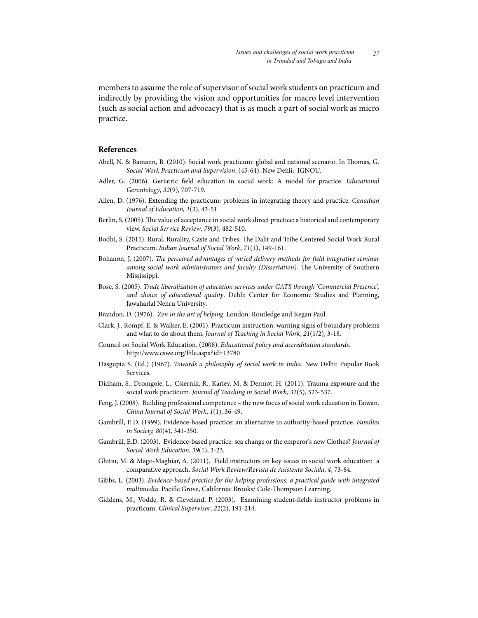members to assume the role of supervisor of social work students on practicum and indirectly by providing the vision and opportunities for macro level intervention (such as social action and advocacy) that is as much a part of social work as micro practice.

# **References**

- Abell, N. & Bamann, B. (2010). Social work practicum: global and national scenario. In Thomas, G. *Social Work Practicum and Supervision*. (45-64). New Dehli: IGNOU.
- Adler, G. (2006). Geriatric field education in social work: A model for practice. *Educational Gerontology*, *32*(9), 707-719.
- Allen, D. (1976). Extending the practicum: problems in integrating theory and practice. *Canadian Journal of Education, 1*(3), 43-51.
- Berlin, S. (2005). The value of acceptance in social work direct practice: a historical and contemporary view. *Social Service Review*, *79*(3), 482-510.
- Bodhi, S. (2011). Rural, Rurality, Caste and Tribes: The Dalit and Tribe Centered Social Work Rural Practicum. *Indian Journal of Social Work*, *71*(1), 149-161.
- Bohanon, J. (2007). *The perceived advantages of varied delivery methods for field integrative seminar among social work administrators and faculty (Dissertation).* The University of Southern Mississippi.
- Bose, S. (2005). *Trade liberalization of education services under GATS through 'Commercial Presence', and choice of educational quality*. Dehli: Center for Economic Studies and Planning, Jawaharlal Nehru University.
- Brandon, D. (1976). *Zen in the art of helping*. London: Routledge and Kegan Paul.
- Clark, J., Rompf, E. & Walker, E. (2001). Practicum instruction: warning signs of boundary problems and what to do about them. *Journal of Teaching in Social Work*, *21*(1/2), 3-18.
- Council on Social Work Education. (2008). *Educational policy and accreditation standards*. http://www.cswe.org/File.aspx?id=13780
- Dasgupta S. (Ed.) (1967). *Towards a philosophy of social work in India*. New Delhi: Popular Book Services.
- Didham, S., Dromgole, L., Csiernik, R., Karley, M. & Dermot, H. (2011). Trauma exposure and the social work practicum. *Journal of Teaching in Social Work*, *31*(5), 523-537.
- Feng, J. (2008). Building professional competence the new focus of social work education in Taiwan. *China Journal of Social Work*, *1*(1), 36-49.
- Gambrill, E.D. (1999). Evidence-based practice: an alternative to authority-based practice. *Families in Society, 80*(4), 341-350.
- Gambrill, E.D. (2003). Evidence-based practice: sea change or the emperor's new Clothes? *Journal of Social Work Education*, *39*(1), 3-23.
- Ghitiu, M. & Mago-Maghiar, A. (2011). Field instructors on key issues in social work education: a comparative approach. *Social Work Review/Revista de Asistenta Sociala*, *4*, 73-84.
- Gibbs, L. (2003). *Evidence-based practice for the helping professions: a practical guide with integrated multimedia*. Pacific Grove, California: Brooks/ Cole-Thompson Learning.
- Giddens, M., Vodde, R. & Cleveland, P. (2003). Examining student-fields instructor problems in practicum. *Clinical Supervisor*, *22*(2), 191-214.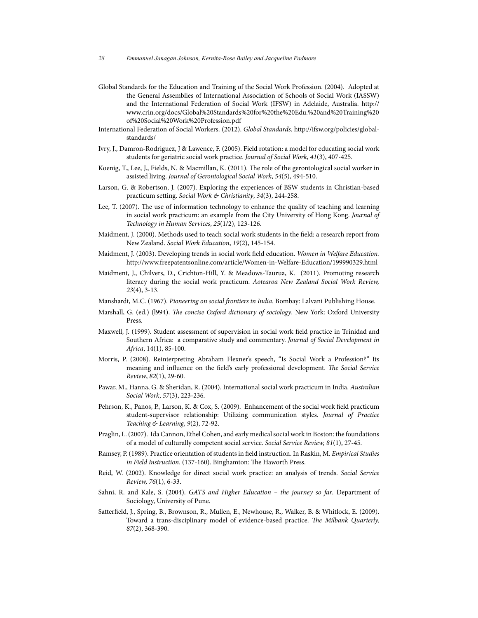- Global Standards for the Education and Training of the Social Work Profession. (2004). Adopted at the General Assemblies of International Association of Schools of Social Work (IASSW) and the International Federation of Social Work (IFSW) in Adelaide, Australia. http:// www.crin.org/docs/Global%20Standards%20for%20the%20Edu.%20and%20Training%20 of%20Social%20Work%20Profession.pdf
- International Federation of Social Workers. (2012). *Global Standards*. http://ifsw.org/policies/globalstandards/
- Ivry, J., Damron-Rodriguez, J & Lawence, F. (2005). Field rotation: a model for educating social work students for geriatric social work practice. *Journal of Social Work*, *41*(3), 407-425.
- Koenig, T., Lee, J., Fields, N. & Macmillan, K. (2011). The role of the gerontological social worker in assisted living. *Journal of Gerontological Social Work*, *54*(5), 494-510.
- Larson, G. & Robertson, J. (2007). Exploring the experiences of BSW students in Christian-based practicum setting. *Social Work & Christianity*, *34*(3), 244-258.
- Lee, T. (2007). The use of information technology to enhance the quality of teaching and learning in social work practicum: an example from the City University of Hong Kong. *Journal of Technology in Human Services*, *25*(1/2), 123-126.
- Maidment, J. (2000). Methods used to teach social work students in the field: a research report from New Zealand. *Social Work Education*, *19*(2), 145-154.
- Maidment, J. (2003). Developing trends in social work field education. *Women in Welfare Education.*  http://www.freepatentsonline.com/article/Women-in-Welfare-Education/199990329.html
- Maidment, J., Chilvers, D., Crichton-Hill, Y. & Meadows-Taurua, K. (2011). Promoting research literacy during the social work practicum. *Aotearoa New Zealand Social Work Review, 23*(4), 3-13.
- Manshardt, M.C. (1967). *Pioneering on social frontiers in India*. Bombay: Lalvani Publishing House.
- Marshall, G. (ed.) (l994). *The concise Oxford dictionary of sociology*. New York: Oxford University Press.
- Maxwell, J. (1999). Student assessment of supervision in social work field practice in Trinidad and Southern Africa: a comparative study and commentary. *Journal of Social Development in Africa*, 14(1), 85-100.
- Morris, P. (2008). Reinterpreting Abraham Flexner's speech, "Is Social Work a Profession?" Its meaning and influence on the field's early professional development. *The Social Service Review*, *82*(1), 29-60.
- Pawar, M., Hanna, G. & Sheridan, R. (2004). International social work practicum in India. *Australian Social Work*, *57*(3), 223-236.
- Pehrson, K., Panos, P., Larson, K. & Cox, S. (2009). Enhancement of the social work field practicum student-supervisor relationship: Utilizing communication styles. *Journal of Practice Teaching & Learning*, *9*(2), 72-92.
- Praglin, L. (2007). Ida Cannon, Ethel Cohen, and early medical social work in Boston: the foundations of a model of culturally competent social service. *Social Service Review, 81*(1), 27-45.
- Ramsey, P. (1989). Practice orientation of students in field instruction. In Raskin, M. *Empirical Studies in Field Instruction*. (137-160). Binghamton: The Haworth Press.
- Reid, W. (2002). Knowledge for direct social work practice: an analysis of trends. *Social Service Review, 76*(1), 6-33.
- Sahni, R. and Kale, S. (2004). *GATS and Higher Education the journey so far*. Department of Sociology, University of Pune.
- Satterfield, J., Spring, B., Brownson, R., Mullen, E., Newhouse, R., Walker, B. & Whitlock, E. (2009). Toward a trans-disciplinary model of evidence-based practice. *The Milbank Quarterly, 87*(2), 368-390.